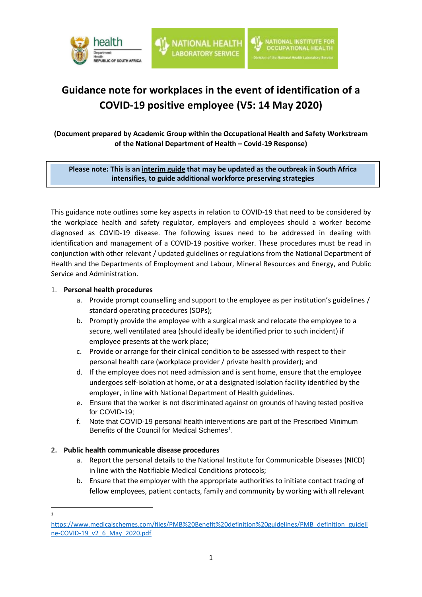

# **Guidance note for workplaces in the event of identification of a COVID-19 positive employee (V5: 14 May 2020)**

**(Document prepared by Academic Group within the Occupational Health and Safety Workstream of the National Department of Health – Covid-19 Response)**

**Please note: This is an interim guide that may be updated as the outbreak in South Africa intensifies, to guide additional workforce preserving strategies**

**Version 1, 17 April 2020**

This guidance note outlines some key aspects in relation to COVID-19 that need to be considered by the workplace health and safety regulator, employers and employees should a worker become diagnosed as COVID-19 disease. The following issues need to be addressed in dealing with identification and management of a COVID-19 positive worker. These procedures must be read in conjunction with other relevant / updated guidelines or regulations from the National Department of Health and the Departments of Employment and Labour, Mineral Resources and Energy, and Public Service and Administration.

#### 1. **Personal health procedures**

- a. Provide prompt counselling and support to the employee as per institution's guidelines / standard operating procedures (SOPs);
- b. Promptly provide the employee with a surgical mask and relocate the employee to a secure, well ventilated area (should ideally be identified prior to such incident) if employee presents at the work place;
- c. Provide or arrange for their clinical condition to be assessed with respect to their personal health care (workplace provider / private health provider); and
- d. If the employee does not need admission and is sent home, ensure that the employee undergoes self-isolation at home, or at a designated isolation facility identified by the employer, in line with National Department of Health guidelines.
- e. Ensure that the worker is not discriminated against on grounds of having tested positive for COVID-19;
- f. Note that COVID-19 personal health interventions are part of the Prescribed Minimum Benefits of the Council for Medical Schemes<sup>1</sup>.

## **2. Public health communicable disease procedures**

- a. Report the personal details to the National Institute for Communicable Diseases (NICD) in line with the Notifiable Medical Conditions protocols;
- b. Ensure that the employer with the appropriate authorities to initiate contact tracing of fellow employees, patient contacts, family and community by working with all relevant

1

[https://www.medicalschemes.com/files/PMB%20Benefit%20definition%20guidelines/PMB\\_definition\\_guideli](https://www.medicalschemes.com/files/PMB%20Benefit%20definition%20guidelines/PMB_definition_guideline-COVID-19_v2_6_May_2020.pdf) [ne-COVID-19\\_v2\\_6\\_May\\_2020.pdf](https://www.medicalschemes.com/files/PMB%20Benefit%20definition%20guidelines/PMB_definition_guideline-COVID-19_v2_6_May_2020.pdf)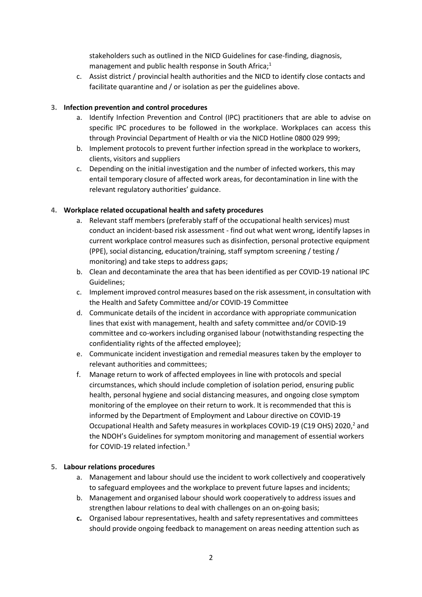stakeholders such as outlined in the NICD Guidelines for case-finding, diagnosis, management and public health response in South Africa;<sup>1</sup>

c. Assist district / provincial health authorities and the NICD to identify close contacts and facilitate quarantine and / or isolation as per the guidelines above.

## **3. Infection prevention and control procedures**

- a. Identify Infection Prevention and Control (IPC) practitioners that are able to advise on specific IPC procedures to be followed in the workplace. Workplaces can access this through Provincial Department of Health or via the NICD Hotline 0800 029 999;
- b. Implement protocols to prevent further infection spread in the workplace to workers, clients, visitors and suppliers
- c. Depending on the initial investigation and the number of infected workers, this may entail temporary closure of affected work areas, for decontamination in line with the relevant regulatory authorities' guidance.

## **4. Workplace related occupational health and safety procedures**

- a. Relevant staff members (preferably staff of the occupational health services) must conduct an incident-based risk assessment - find out what went wrong, identify lapses in current workplace control measures such as disinfection, personal protective equipment (PPE), social distancing, education/training, staff symptom screening / testing / monitoring) and take steps to address gaps;
- b. Clean and decontaminate the area that has been identified as per COVID-19 national IPC Guidelines;
- c. Implement improved control measures based on the risk assessment, in consultation with the Health and Safety Committee and/or COVID-19 Committee
- d. Communicate details of the incident in accordance with appropriate communication lines that exist with management, health and safety committee and/or COVID-19 committee and co-workers including organised labour (notwithstanding respecting the confidentiality rights of the affected employee);
- e. Communicate incident investigation and remedial measures taken by the employer to relevant authorities and committees;
- f. Manage return to work of affected employees in line with protocols and special circumstances, which should include completion of isolation period, ensuring public health, personal hygiene and social distancing measures, and ongoing close symptom monitoring of the employee on their return to work. It is recommended that this is informed by the Department of Employment and Labour directive on COVID-19 Occupational Health and Safety measures in workplaces COVID-19 (C19 OHS) 2020,<sup>2</sup> and the NDOH's Guidelines for symptom monitoring and management of essential workers for COVID-19 related infection. 3

## **5. Labour relations procedures**

- a. Management and labour should use the incident to work collectively and cooperatively to safeguard employees and the workplace to prevent future lapses and incidents;
- b. Management and organised labour should work cooperatively to address issues and strengthen labour relations to deal with challenges on an on-going basis;
- **c.** Organised labour representatives, health and safety representatives and committees should provide ongoing feedback to management on areas needing attention such as